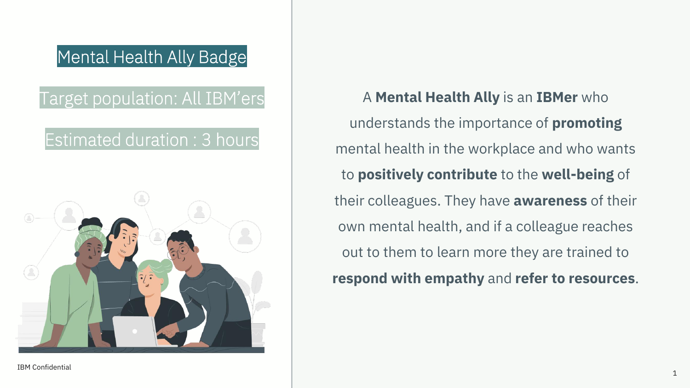## Mental Health Ally Badge

## Target population: All IBM'ers

## Estimated duration : 3 hours



## A **Mental Health Ally** is an **IBMer** who understands the importance of **promoting** mental health in the workplace and who wants to **positively contribute** to the **well-being** of their colleagues. They have **awareness** of their own mental health, and if a colleague reaches out to them to learn more they are trained to **respond with empathy** and **refer to resources**.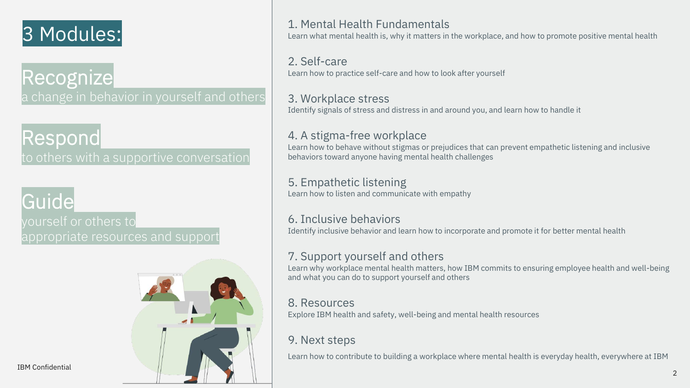## 3 Modules:

**Recognize** a change in behavior in yourself and others

## Respond

to others with a supportive conversation

# Guide

yourself or others to appropriate resources and support



#### 1. Mental Health Fundamentals

Learn what mental health is, why it matters in the workplace, and how to promote positive mental health

#### 2. Self-care

Learn how to practice self-care and how to look after yourself

#### 3. Workplace stress

Identify signals of stress and distress in and around you, and learn how to handle it

#### 4. A stigma-free workplace

Learn how to behave without stigmas or prejudices that can prevent empathetic listening and inclusive behaviors toward anyone having mental health challenges

#### 5. Empathetic listening

Learn how to listen and communicate with empathy

#### 6. Inclusive behaviors

Identify inclusive behavior and learn how to incorporate and promote it for better mental health

#### 7. Support yourself and others

Learn why workplace mental health matters, how IBM commits to ensuring employee health and well-being and what you can do to support yourself and others

#### 8. Resources

Explore IBM health and safety, well-being and mental health resources

#### 9. Next steps

Learn how to contribute to building a workplace where mental health is everyday health, everywhere at IBM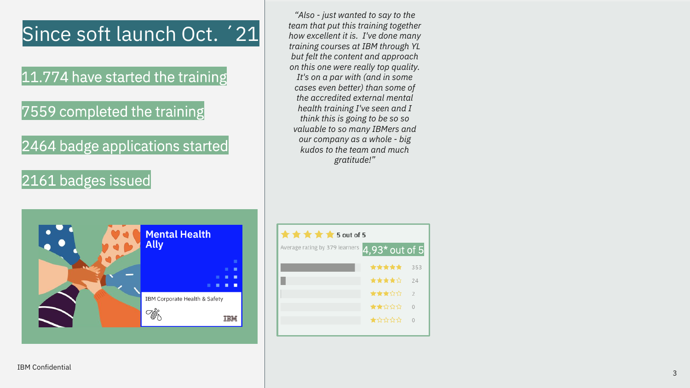## Since soft launch Oct. '21

### 11.774 have started the training

7559 completed the training

2464 badge applications started

#### 2161 badges issued



*"Also - just wanted to say to the team that put this training together how excellent it is. I've done many training courses at IBM through YL but felt the content and approach on this one were really top quality. It's on a par with (and in some cases even better) than some of the accredited external mental health training I've seen and I think this is going to be so so valuable to so many IBMers and our company as a whole - big kudos to the team and much gratitude!"*

| $\star \star \star \star \star$ 5 out of 5                |       |               |
|-----------------------------------------------------------|-------|---------------|
| Average rating by 379 learners<br>$4,93^{\star}$ out of 5 |       |               |
|                                                           | ***** | 353           |
|                                                           | ★★★★☆ | 74            |
|                                                           | ★★★☆☆ | $\mathcal{P}$ |
|                                                           | ★★☆☆☆ |               |
|                                                           | ★☆☆☆☆ |               |
|                                                           |       |               |

IBM Confidential